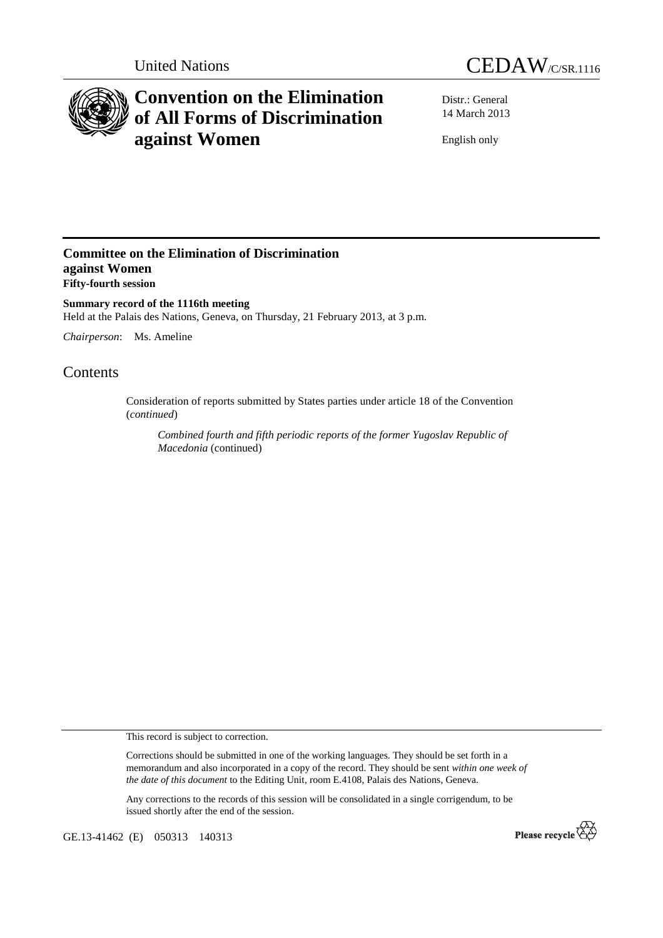



# **Convention on the Elimination of All Forms of Discrimination against Women**

Distr.: General 14 March 2013

English only

### **Committee on the Elimination of Discrimination against Women Fifty-fourth session**

**Summary record of the 1116th meeting**  Held at the Palais des Nations, Geneva, on Thursday, 21 February 2013, at 3 p.m.

*Chairperson*: Ms. Ameline

## Contents

Consideration of reports submitted by States parties under article 18 of the Convention (*continued*)

*Combined fourth and fifth periodic reports of the former Yugoslav Republic of Macedonia* (continued)

This record is subject to correction.

Corrections should be submitted in one of the working languages. They should be set forth in a memorandum and also incorporated in a copy of the record. They should be sent *within one week of the date of this document* to the Editing Unit, room E.4108, Palais des Nations, Geneva.

Any corrections to the records of this session will be consolidated in a single corrigendum, to be issued shortly after the end of the session.

GE.13-41462 (E) 050313 140313

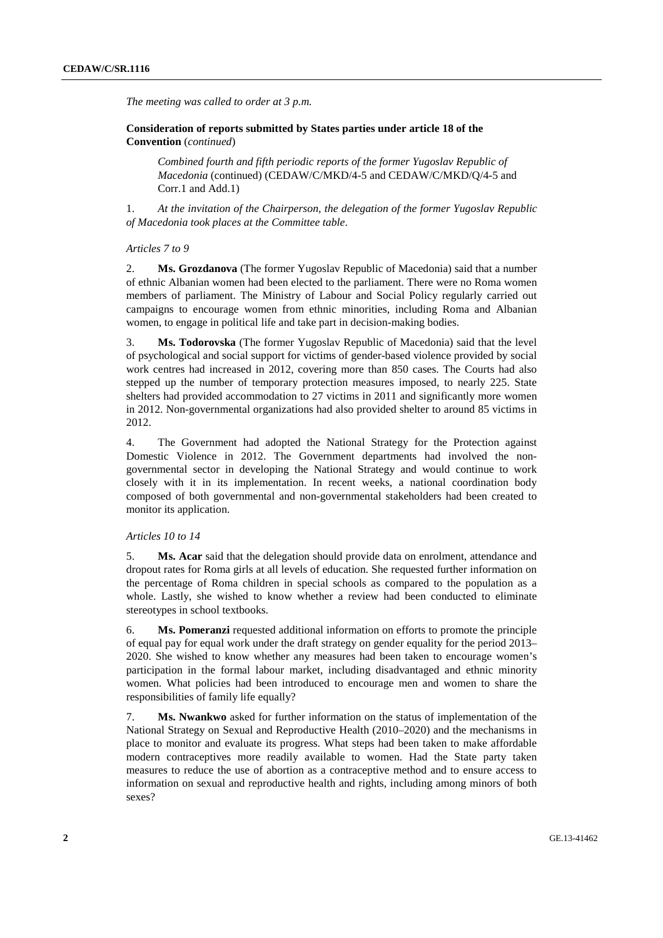*The meeting was called to order at 3 p.m.* 

 **Consideration of reports submitted by States parties under article 18 of the Convention** (*continued*)

*Combined fourth and fifth periodic reports of the former Yugoslav Republic of Macedonia* (continued) (CEDAW/C/MKD/4-5 and CEDAW/C/MKD/Q/4-5 and Corr.1 and Add.1)

1. *At the invitation of the Chairperson, the delegation of the former Yugoslav Republic of Macedonia took places at the Committee table*.

#### *Articles 7 to 9*

2. **Ms. Grozdanova** (The former Yugoslav Republic of Macedonia) said that a number of ethnic Albanian women had been elected to the parliament. There were no Roma women members of parliament. The Ministry of Labour and Social Policy regularly carried out campaigns to encourage women from ethnic minorities, including Roma and Albanian women, to engage in political life and take part in decision-making bodies.

3. **Ms. Todorovska** (The former Yugoslav Republic of Macedonia) said that the level of psychological and social support for victims of gender-based violence provided by social work centres had increased in 2012, covering more than 850 cases. The Courts had also stepped up the number of temporary protection measures imposed, to nearly 225. State shelters had provided accommodation to 27 victims in 2011 and significantly more women in 2012. Non-governmental organizations had also provided shelter to around 85 victims in 2012.

4. The Government had adopted the National Strategy for the Protection against Domestic Violence in 2012. The Government departments had involved the nongovernmental sector in developing the National Strategy and would continue to work closely with it in its implementation. In recent weeks, a national coordination body composed of both governmental and non-governmental stakeholders had been created to monitor its application.

#### *Articles 10 to 14*

5. **Ms. Acar** said that the delegation should provide data on enrolment, attendance and dropout rates for Roma girls at all levels of education. She requested further information on the percentage of Roma children in special schools as compared to the population as a whole. Lastly, she wished to know whether a review had been conducted to eliminate stereotypes in school textbooks.

6. **Ms. Pomeranzi** requested additional information on efforts to promote the principle of equal pay for equal work under the draft strategy on gender equality for the period 2013– 2020. She wished to know whether any measures had been taken to encourage women's participation in the formal labour market, including disadvantaged and ethnic minority women. What policies had been introduced to encourage men and women to share the responsibilities of family life equally?

7. **Ms. Nwankwo** asked for further information on the status of implementation of the National Strategy on Sexual and Reproductive Health (2010–2020) and the mechanisms in place to monitor and evaluate its progress. What steps had been taken to make affordable modern contraceptives more readily available to women. Had the State party taken measures to reduce the use of abortion as a contraceptive method and to ensure access to information on sexual and reproductive health and rights, including among minors of both sexes?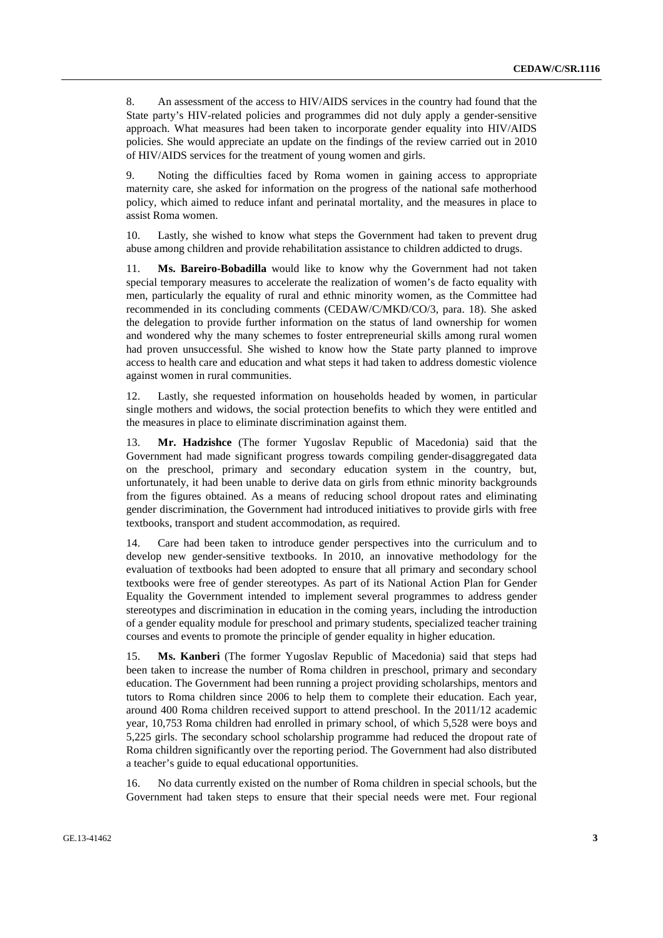8. An assessment of the access to HIV/AIDS services in the country had found that the State party's HIV-related policies and programmes did not duly apply a gender-sensitive approach. What measures had been taken to incorporate gender equality into HIV/AIDS policies. She would appreciate an update on the findings of the review carried out in 2010 of HIV/AIDS services for the treatment of young women and girls.

9. Noting the difficulties faced by Roma women in gaining access to appropriate maternity care, she asked for information on the progress of the national safe motherhood policy, which aimed to reduce infant and perinatal mortality, and the measures in place to assist Roma women.

10. Lastly, she wished to know what steps the Government had taken to prevent drug abuse among children and provide rehabilitation assistance to children addicted to drugs.

11. **Ms. Bareiro-Bobadilla** would like to know why the Government had not taken special temporary measures to accelerate the realization of women's de facto equality with men, particularly the equality of rural and ethnic minority women, as the Committee had recommended in its concluding comments (CEDAW/C/MKD/CO/3, para. 18). She asked the delegation to provide further information on the status of land ownership for women and wondered why the many schemes to foster entrepreneurial skills among rural women had proven unsuccessful. She wished to know how the State party planned to improve access to health care and education and what steps it had taken to address domestic violence against women in rural communities.

12. Lastly, she requested information on households headed by women, in particular single mothers and widows, the social protection benefits to which they were entitled and the measures in place to eliminate discrimination against them.

13. **Mr. Hadzishce** (The former Yugoslav Republic of Macedonia) said that the Government had made significant progress towards compiling gender-disaggregated data on the preschool, primary and secondary education system in the country, but, unfortunately, it had been unable to derive data on girls from ethnic minority backgrounds from the figures obtained. As a means of reducing school dropout rates and eliminating gender discrimination, the Government had introduced initiatives to provide girls with free textbooks, transport and student accommodation, as required.

14. Care had been taken to introduce gender perspectives into the curriculum and to develop new gender-sensitive textbooks. In 2010, an innovative methodology for the evaluation of textbooks had been adopted to ensure that all primary and secondary school textbooks were free of gender stereotypes. As part of its National Action Plan for Gender Equality the Government intended to implement several programmes to address gender stereotypes and discrimination in education in the coming years, including the introduction of a gender equality module for preschool and primary students, specialized teacher training courses and events to promote the principle of gender equality in higher education.

15. **Ms. Kanberi** (The former Yugoslav Republic of Macedonia) said that steps had been taken to increase the number of Roma children in preschool, primary and secondary education. The Government had been running a project providing scholarships, mentors and tutors to Roma children since 2006 to help them to complete their education. Each year, around 400 Roma children received support to attend preschool. In the 2011/12 academic year, 10,753 Roma children had enrolled in primary school, of which 5,528 were boys and 5,225 girls. The secondary school scholarship programme had reduced the dropout rate of Roma children significantly over the reporting period. The Government had also distributed a teacher's guide to equal educational opportunities.

16. No data currently existed on the number of Roma children in special schools, but the Government had taken steps to ensure that their special needs were met. Four regional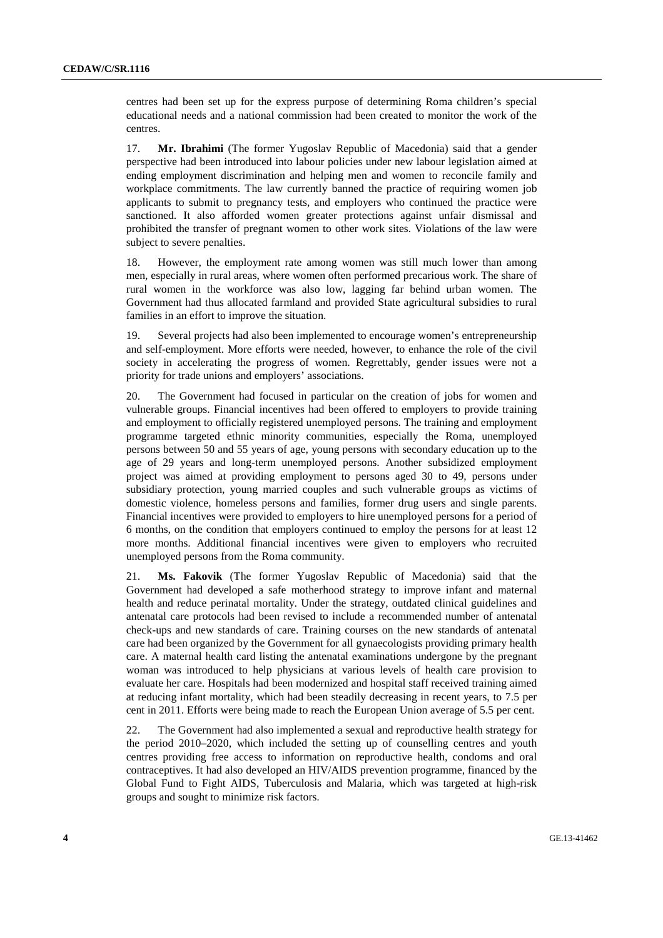centres had been set up for the express purpose of determining Roma children's special educational needs and a national commission had been created to monitor the work of the centres.

17. **Mr. Ibrahimi** (The former Yugoslav Republic of Macedonia) said that a gender perspective had been introduced into labour policies under new labour legislation aimed at ending employment discrimination and helping men and women to reconcile family and workplace commitments. The law currently banned the practice of requiring women job applicants to submit to pregnancy tests, and employers who continued the practice were sanctioned. It also afforded women greater protections against unfair dismissal and prohibited the transfer of pregnant women to other work sites. Violations of the law were subject to severe penalties.

18. However, the employment rate among women was still much lower than among men, especially in rural areas, where women often performed precarious work. The share of rural women in the workforce was also low, lagging far behind urban women. The Government had thus allocated farmland and provided State agricultural subsidies to rural families in an effort to improve the situation.

19. Several projects had also been implemented to encourage women's entrepreneurship and self-employment. More efforts were needed, however, to enhance the role of the civil society in accelerating the progress of women. Regrettably, gender issues were not a priority for trade unions and employers' associations.

20. The Government had focused in particular on the creation of jobs for women and vulnerable groups. Financial incentives had been offered to employers to provide training and employment to officially registered unemployed persons. The training and employment programme targeted ethnic minority communities, especially the Roma, unemployed persons between 50 and 55 years of age, young persons with secondary education up to the age of 29 years and long-term unemployed persons. Another subsidized employment project was aimed at providing employment to persons aged 30 to 49, persons under subsidiary protection, young married couples and such vulnerable groups as victims of domestic violence, homeless persons and families, former drug users and single parents. Financial incentives were provided to employers to hire unemployed persons for a period of 6 months, on the condition that employers continued to employ the persons for at least 12 more months. Additional financial incentives were given to employers who recruited unemployed persons from the Roma community.

21. **Ms. Fakovik** (The former Yugoslav Republic of Macedonia) said that the Government had developed a safe motherhood strategy to improve infant and maternal health and reduce perinatal mortality. Under the strategy, outdated clinical guidelines and antenatal care protocols had been revised to include a recommended number of antenatal check-ups and new standards of care. Training courses on the new standards of antenatal care had been organized by the Government for all gynaecologists providing primary health care. A maternal health card listing the antenatal examinations undergone by the pregnant woman was introduced to help physicians at various levels of health care provision to evaluate her care. Hospitals had been modernized and hospital staff received training aimed at reducing infant mortality, which had been steadily decreasing in recent years, to 7.5 per cent in 2011. Efforts were being made to reach the European Union average of 5.5 per cent.

22. The Government had also implemented a sexual and reproductive health strategy for the period 2010–2020, which included the setting up of counselling centres and youth centres providing free access to information on reproductive health, condoms and oral contraceptives. It had also developed an HIV/AIDS prevention programme, financed by the Global Fund to Fight AIDS, Tuberculosis and Malaria, which was targeted at high-risk groups and sought to minimize risk factors.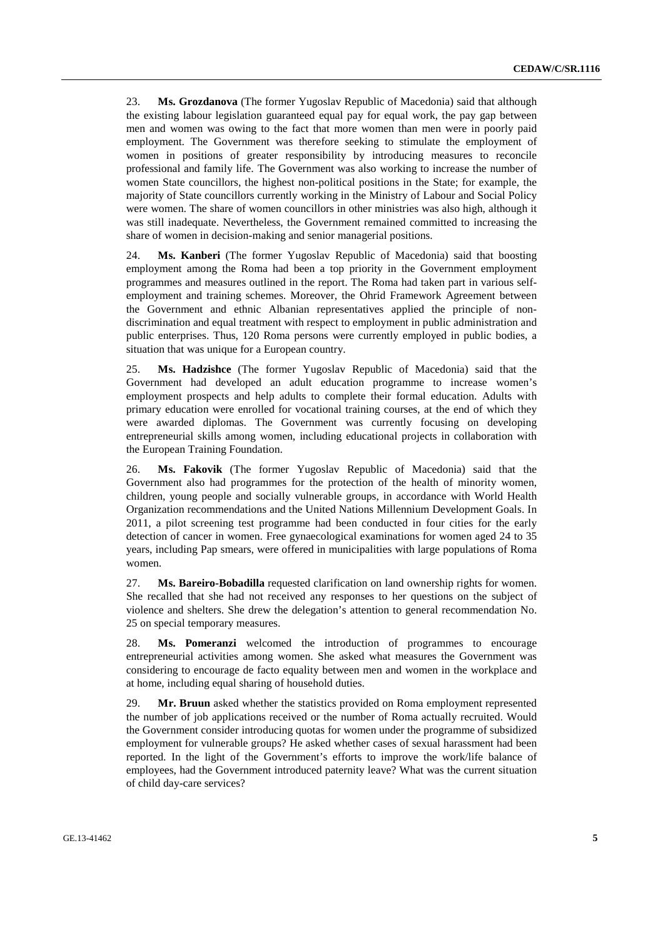23. **Ms. Grozdanova** (The former Yugoslav Republic of Macedonia) said that although the existing labour legislation guaranteed equal pay for equal work, the pay gap between men and women was owing to the fact that more women than men were in poorly paid employment. The Government was therefore seeking to stimulate the employment of women in positions of greater responsibility by introducing measures to reconcile professional and family life. The Government was also working to increase the number of women State councillors, the highest non-political positions in the State; for example, the majority of State councillors currently working in the Ministry of Labour and Social Policy were women. The share of women councillors in other ministries was also high, although it was still inadequate. Nevertheless, the Government remained committed to increasing the share of women in decision-making and senior managerial positions.

24. **Ms. Kanberi** (The former Yugoslav Republic of Macedonia) said that boosting employment among the Roma had been a top priority in the Government employment programmes and measures outlined in the report. The Roma had taken part in various selfemployment and training schemes. Moreover, the Ohrid Framework Agreement between the Government and ethnic Albanian representatives applied the principle of nondiscrimination and equal treatment with respect to employment in public administration and public enterprises. Thus, 120 Roma persons were currently employed in public bodies, a situation that was unique for a European country.

25. **Ms. Hadzishce** (The former Yugoslav Republic of Macedonia) said that the Government had developed an adult education programme to increase women's employment prospects and help adults to complete their formal education. Adults with primary education were enrolled for vocational training courses, at the end of which they were awarded diplomas. The Government was currently focusing on developing entrepreneurial skills among women, including educational projects in collaboration with the European Training Foundation.

26. **Ms. Fakovik** (The former Yugoslav Republic of Macedonia) said that the Government also had programmes for the protection of the health of minority women, children, young people and socially vulnerable groups, in accordance with World Health Organization recommendations and the United Nations Millennium Development Goals. In 2011, a pilot screening test programme had been conducted in four cities for the early detection of cancer in women. Free gynaecological examinations for women aged 24 to 35 years, including Pap smears, were offered in municipalities with large populations of Roma women.

27. **Ms. Bareiro-Bobadilla** requested clarification on land ownership rights for women. She recalled that she had not received any responses to her questions on the subject of violence and shelters. She drew the delegation's attention to general recommendation No. 25 on special temporary measures.

28. **Ms. Pomeranzi** welcomed the introduction of programmes to encourage entrepreneurial activities among women. She asked what measures the Government was considering to encourage de facto equality between men and women in the workplace and at home, including equal sharing of household duties.

29. **Mr. Bruun** asked whether the statistics provided on Roma employment represented the number of job applications received or the number of Roma actually recruited. Would the Government consider introducing quotas for women under the programme of subsidized employment for vulnerable groups? He asked whether cases of sexual harassment had been reported. In the light of the Government's efforts to improve the work/life balance of employees, had the Government introduced paternity leave? What was the current situation of child day-care services?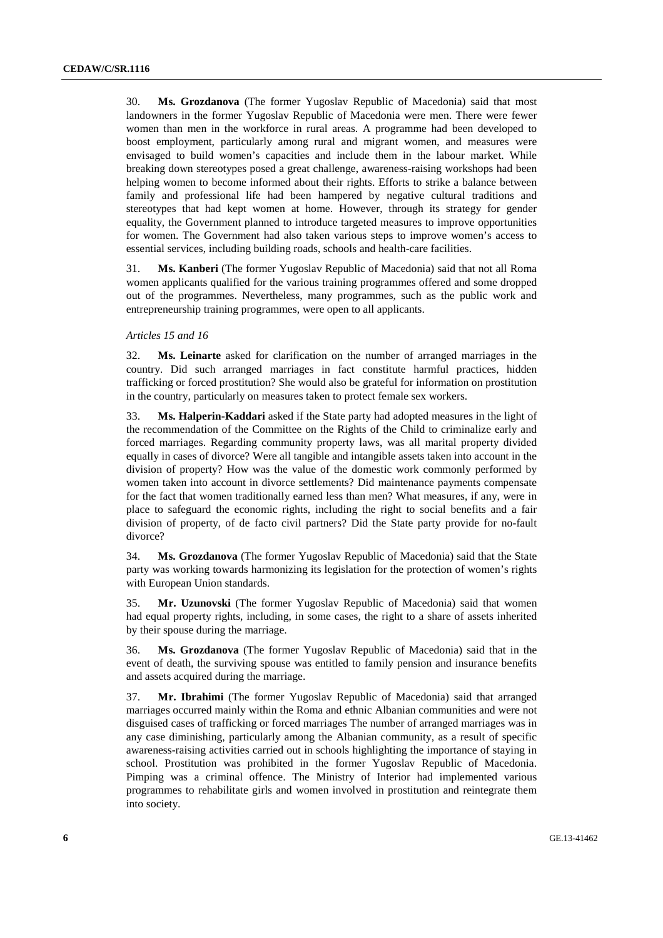30. **Ms. Grozdanova** (The former Yugoslav Republic of Macedonia) said that most landowners in the former Yugoslav Republic of Macedonia were men. There were fewer women than men in the workforce in rural areas. A programme had been developed to boost employment, particularly among rural and migrant women, and measures were envisaged to build women's capacities and include them in the labour market. While breaking down stereotypes posed a great challenge, awareness-raising workshops had been helping women to become informed about their rights. Efforts to strike a balance between family and professional life had been hampered by negative cultural traditions and stereotypes that had kept women at home. However, through its strategy for gender equality, the Government planned to introduce targeted measures to improve opportunities for women. The Government had also taken various steps to improve women's access to essential services, including building roads, schools and health-care facilities.

31. **Ms. Kanberi** (The former Yugoslav Republic of Macedonia) said that not all Roma women applicants qualified for the various training programmes offered and some dropped out of the programmes. Nevertheless, many programmes, such as the public work and entrepreneurship training programmes, were open to all applicants.

#### *Articles 15 and 16*

32. **Ms. Leinarte** asked for clarification on the number of arranged marriages in the country. Did such arranged marriages in fact constitute harmful practices, hidden trafficking or forced prostitution? She would also be grateful for information on prostitution in the country, particularly on measures taken to protect female sex workers.

33. **Ms. Halperin-Kaddari** asked if the State party had adopted measures in the light of the recommendation of the Committee on the Rights of the Child to criminalize early and forced marriages. Regarding community property laws, was all marital property divided equally in cases of divorce? Were all tangible and intangible assets taken into account in the division of property? How was the value of the domestic work commonly performed by women taken into account in divorce settlements? Did maintenance payments compensate for the fact that women traditionally earned less than men? What measures, if any, were in place to safeguard the economic rights, including the right to social benefits and a fair division of property, of de facto civil partners? Did the State party provide for no-fault divorce?

34. **Ms. Grozdanova** (The former Yugoslav Republic of Macedonia) said that the State party was working towards harmonizing its legislation for the protection of women's rights with European Union standards.

35. **Mr. Uzunovski** (The former Yugoslav Republic of Macedonia) said that women had equal property rights, including, in some cases, the right to a share of assets inherited by their spouse during the marriage.

36. **Ms. Grozdanova** (The former Yugoslav Republic of Macedonia) said that in the event of death, the surviving spouse was entitled to family pension and insurance benefits and assets acquired during the marriage.

37. **Mr. Ibrahimi** (The former Yugoslav Republic of Macedonia) said that arranged marriages occurred mainly within the Roma and ethnic Albanian communities and were not disguised cases of trafficking or forced marriages The number of arranged marriages was in any case diminishing, particularly among the Albanian community, as a result of specific awareness-raising activities carried out in schools highlighting the importance of staying in school. Prostitution was prohibited in the former Yugoslav Republic of Macedonia. Pimping was a criminal offence. The Ministry of Interior had implemented various programmes to rehabilitate girls and women involved in prostitution and reintegrate them into society.